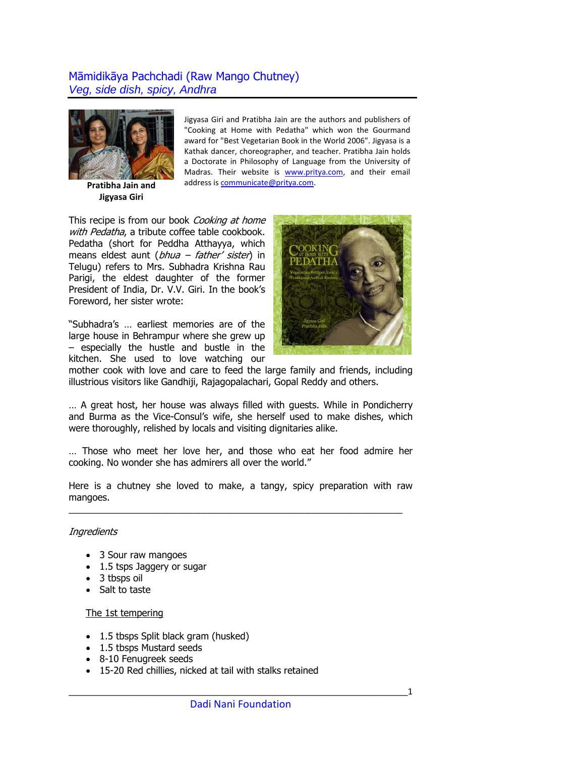## Māmidikāya Pachchadi (Raw Mango Chutney) *Veg, side dish, spicy, Andhra*



**Pratibha Jain and Jigyasa Giri**

Jigyasa Giri and Pratibha Jain are the authors and publishers of "Cooking at Home with Pedatha" which won the Gourmand award for "Best Vegetarian Book in the World 2006". Jigyasa is a Kathak dancer, choreographer, and teacher. Pratibha Jain holds a Doctorate in Philosophy of Language from the University of Madras. Their website is [www.pritya.com](http://www.pritya.com/), and their email address is [communicate@pritya.com](mailto:communicate@pritya.com).

This recipe is from our book Cooking at home with Pedatha, a tribute coffee table cookbook. Pedatha (short for Peddha Atthayya, which means eldest aunt ( $bhu$ a – father' sister) in Telugu) refers to Mrs. Subhadra Krishna Rau Parigi, the eldest daughter of the former President of India, Dr. V.V. Giri. In the book's Foreword, her sister wrote:

"Subhadra's … earliest memories are of the large house in Behrampur where she grew up – especially the hustle and bustle in the kitchen. She used to love watching our



mother cook with love and care to feed the large family and friends, including illustrious visitors like Gandhiji, Rajagopalachari, Gopal Reddy and others.

… A great host, her house was always filled with guests. While in Pondicherry and Burma as the Vice-Consul's wife, she herself used to make dishes, which were thoroughly, relished by locals and visiting dignitaries alike.

… Those who meet her love her, and those who eat her food admire her cooking. No wonder she has admirers all over the world."

Here is a chutney she loved to make, a tangy, spicy preparation with raw mangoes.

\_\_\_\_\_\_\_\_\_\_\_\_\_\_\_\_\_\_\_\_\_\_\_\_\_\_\_\_\_\_\_\_\_\_\_\_\_\_\_\_\_\_\_\_\_\_\_\_\_\_\_\_\_\_\_\_\_\_\_\_\_\_\_\_

## **Ingredients**

- 3 Sour raw mangoes
- 1.5 tsps Jaggery or sugar
- 3 tbsps oil
- Salt to taste

## The 1st tempering

- 1.5 tbsps Split black gram (husked)
- 1.5 tbsps Mustard seeds
- 8-10 Fenugreek seeds
- 15-20 Red chillies, nicked at tail with stalks retained